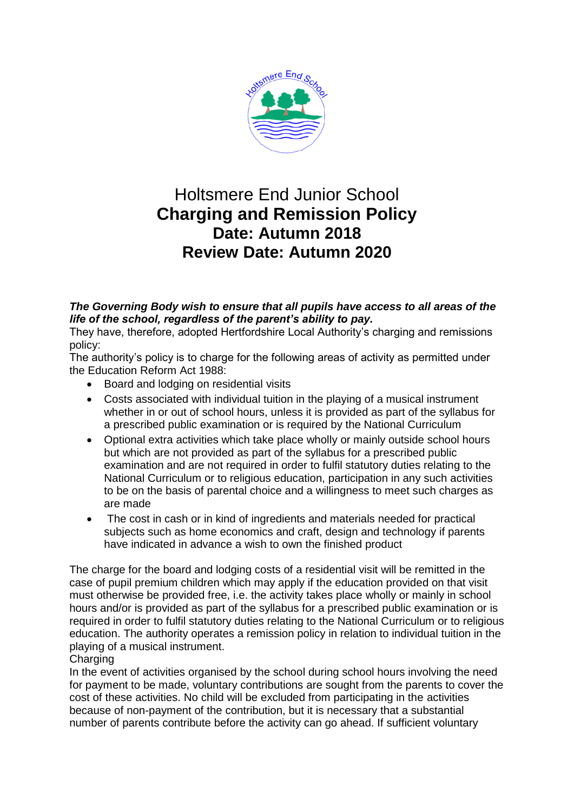

## Holtsmere End Junior School **Charging and Remission Policy Date: Autumn 2018 Review Date: Autumn 2020**

## *The Governing Body wish to ensure that all pupils have access to all areas of the life of the school, regardless of the parent's ability to pay.*

They have, therefore, adopted Hertfordshire Local Authority's charging and remissions policy:

The authority's policy is to charge for the following areas of activity as permitted under the Education Reform Act 1988:

- Board and lodging on residential visits
- Costs associated with individual tuition in the playing of a musical instrument whether in or out of school hours, unless it is provided as part of the syllabus for a prescribed public examination or is required by the National Curriculum
- Optional extra activities which take place wholly or mainly outside school hours but which are not provided as part of the syllabus for a prescribed public examination and are not required in order to fulfil statutory duties relating to the National Curriculum or to religious education, participation in any such activities to be on the basis of parental choice and a willingness to meet such charges as are made
- The cost in cash or in kind of ingredients and materials needed for practical subjects such as home economics and craft, design and technology if parents have indicated in advance a wish to own the finished product

The charge for the board and lodging costs of a residential visit will be remitted in the case of pupil premium children which may apply if the education provided on that visit must otherwise be provided free, i.e. the activity takes place wholly or mainly in school hours and/or is provided as part of the syllabus for a prescribed public examination or is required in order to fulfil statutory duties relating to the National Curriculum or to religious education. The authority operates a remission policy in relation to individual tuition in the playing of a musical instrument.

## **Charging**

In the event of activities organised by the school during school hours involving the need for payment to be made, voluntary contributions are sought from the parents to cover the cost of these activities. No child will be excluded from participating in the activities because of non-payment of the contribution, but it is necessary that a substantial number of parents contribute before the activity can go ahead. If sufficient voluntary